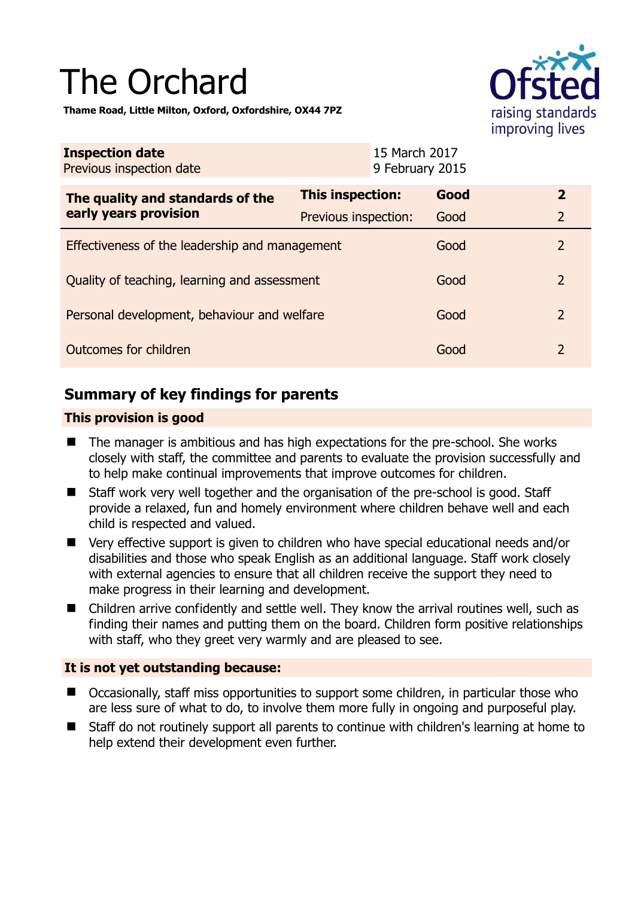# The Orchard

**Thame Road, Little Milton, Oxford, Oxfordshire, OX44 7PZ** 



| <b>Inspection date</b><br>Previous inspection date |                      | 15 March 2017<br>9 February 2015 |      |                |
|----------------------------------------------------|----------------------|----------------------------------|------|----------------|
| The quality and standards of the                   | This inspection:     |                                  | Good | $\overline{2}$ |
| early years provision                              | Previous inspection: |                                  | Good | $\overline{2}$ |
| Effectiveness of the leadership and management     |                      |                                  | Good | 2              |
| Quality of teaching, learning and assessment       |                      |                                  | Good | 2              |
| Personal development, behaviour and welfare        |                      |                                  | Good | 2              |
| Outcomes for children                              |                      |                                  | Good | 2              |

# **Summary of key findings for parents**

## **This provision is good**

- The manager is ambitious and has high expectations for the pre-school. She works closely with staff, the committee and parents to evaluate the provision successfully and to help make continual improvements that improve outcomes for children.
- Staff work very well together and the organisation of the pre-school is good. Staff provide a relaxed, fun and homely environment where children behave well and each child is respected and valued.
- Very effective support is given to children who have special educational needs and/or disabilities and those who speak English as an additional language. Staff work closely with external agencies to ensure that all children receive the support they need to make progress in their learning and development.
- Children arrive confidently and settle well. They know the arrival routines well, such as finding their names and putting them on the board. Children form positive relationships with staff, who they greet very warmly and are pleased to see.

## **It is not yet outstanding because:**

- Occasionally, staff miss opportunities to support some children, in particular those who are less sure of what to do, to involve them more fully in ongoing and purposeful play.
- Staff do not routinely support all parents to continue with children's learning at home to help extend their development even further.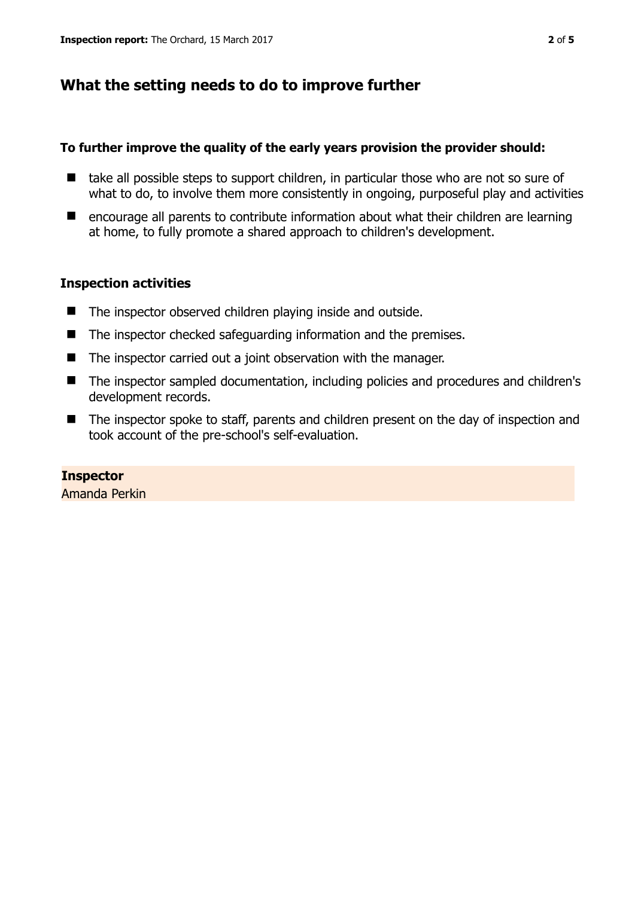# **What the setting needs to do to improve further**

#### **To further improve the quality of the early years provision the provider should:**

- take all possible steps to support children, in particular those who are not so sure of what to do, to involve them more consistently in ongoing, purposeful play and activities
- encourage all parents to contribute information about what their children are learning at home, to fully promote a shared approach to children's development.

#### **Inspection activities**

- The inspector observed children playing inside and outside.
- The inspector checked safeguarding information and the premises.
- $\blacksquare$  The inspector carried out a joint observation with the manager.
- The inspector sampled documentation, including policies and procedures and children's development records.
- The inspector spoke to staff, parents and children present on the day of inspection and took account of the pre-school's self-evaluation.

#### **Inspector**  Amanda Perkin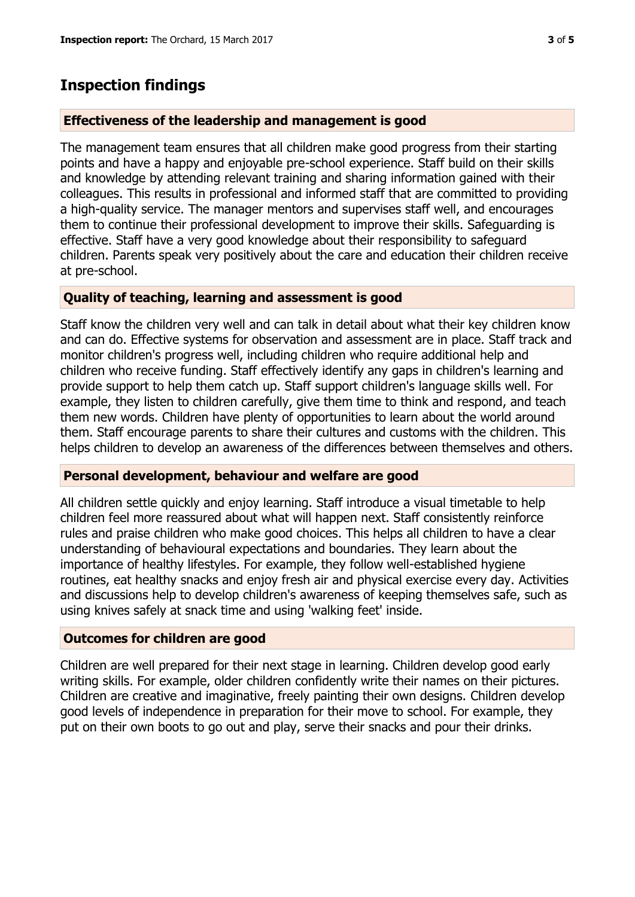# **Inspection findings**

#### **Effectiveness of the leadership and management is good**

The management team ensures that all children make good progress from their starting points and have a happy and enjoyable pre-school experience. Staff build on their skills and knowledge by attending relevant training and sharing information gained with their colleagues. This results in professional and informed staff that are committed to providing a high-quality service. The manager mentors and supervises staff well, and encourages them to continue their professional development to improve their skills. Safeguarding is effective. Staff have a very good knowledge about their responsibility to safeguard children. Parents speak very positively about the care and education their children receive at pre-school.

#### **Quality of teaching, learning and assessment is good**

Staff know the children very well and can talk in detail about what their key children know and can do. Effective systems for observation and assessment are in place. Staff track and monitor children's progress well, including children who require additional help and children who receive funding. Staff effectively identify any gaps in children's learning and provide support to help them catch up. Staff support children's language skills well. For example, they listen to children carefully, give them time to think and respond, and teach them new words. Children have plenty of opportunities to learn about the world around them. Staff encourage parents to share their cultures and customs with the children. This helps children to develop an awareness of the differences between themselves and others.

#### **Personal development, behaviour and welfare are good**

All children settle quickly and enjoy learning. Staff introduce a visual timetable to help children feel more reassured about what will happen next. Staff consistently reinforce rules and praise children who make good choices. This helps all children to have a clear understanding of behavioural expectations and boundaries. They learn about the importance of healthy lifestyles. For example, they follow well-established hygiene routines, eat healthy snacks and enjoy fresh air and physical exercise every day. Activities and discussions help to develop children's awareness of keeping themselves safe, such as using knives safely at snack time and using 'walking feet' inside.

## **Outcomes for children are good**

Children are well prepared for their next stage in learning. Children develop good early writing skills. For example, older children confidently write their names on their pictures. Children are creative and imaginative, freely painting their own designs. Children develop good levels of independence in preparation for their move to school. For example, they put on their own boots to go out and play, serve their snacks and pour their drinks.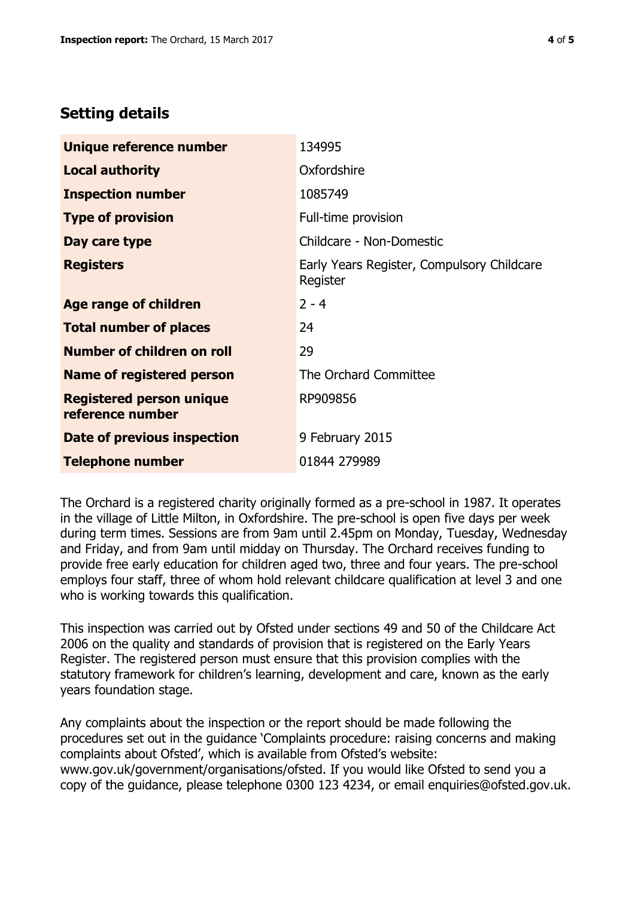## **Setting details**

| Unique reference number                             | 134995                                                 |  |
|-----------------------------------------------------|--------------------------------------------------------|--|
| <b>Local authority</b>                              | Oxfordshire                                            |  |
| <b>Inspection number</b>                            | 1085749                                                |  |
| <b>Type of provision</b>                            | Full-time provision                                    |  |
| Day care type                                       | Childcare - Non-Domestic                               |  |
| <b>Registers</b>                                    | Early Years Register, Compulsory Childcare<br>Register |  |
| Age range of children                               | $2 - 4$                                                |  |
| <b>Total number of places</b>                       | 24                                                     |  |
| Number of children on roll                          | 29                                                     |  |
| Name of registered person                           | The Orchard Committee                                  |  |
| <b>Registered person unique</b><br>reference number | RP909856                                               |  |
| Date of previous inspection                         | 9 February 2015                                        |  |
| <b>Telephone number</b>                             | 01844 279989                                           |  |

The Orchard is a registered charity originally formed as a pre-school in 1987. It operates in the village of Little Milton, in Oxfordshire. The pre-school is open five days per week during term times. Sessions are from 9am until 2.45pm on Monday, Tuesday, Wednesday and Friday, and from 9am until midday on Thursday. The Orchard receives funding to provide free early education for children aged two, three and four years. The pre-school employs four staff, three of whom hold relevant childcare qualification at level 3 and one who is working towards this qualification.

This inspection was carried out by Ofsted under sections 49 and 50 of the Childcare Act 2006 on the quality and standards of provision that is registered on the Early Years Register. The registered person must ensure that this provision complies with the statutory framework for children's learning, development and care, known as the early years foundation stage.

Any complaints about the inspection or the report should be made following the procedures set out in the guidance 'Complaints procedure: raising concerns and making complaints about Ofsted', which is available from Ofsted's website: www.gov.uk/government/organisations/ofsted. If you would like Ofsted to send you a copy of the guidance, please telephone 0300 123 4234, or email enquiries@ofsted.gov.uk.